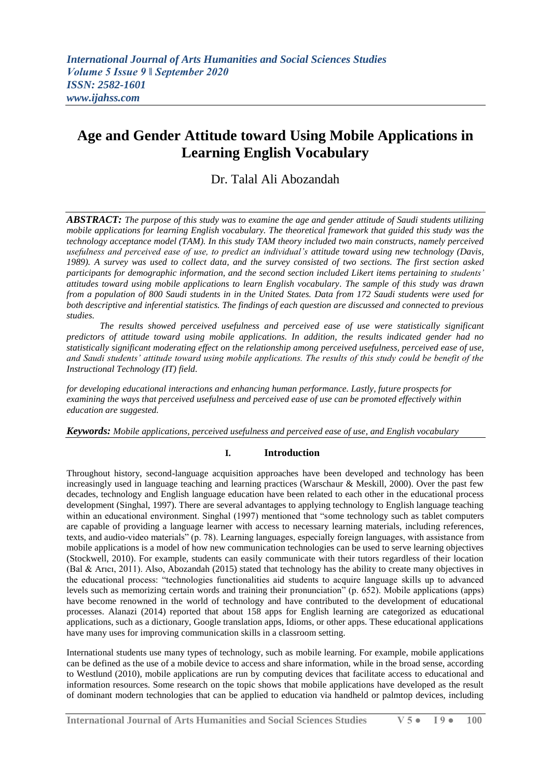# **Age and Gender Attitude toward Using Mobile Applications in Learning English Vocabulary**

## Dr. Talal Ali Abozandah

*ABSTRACT: The purpose of this study was to examine the age and gender attitude of Saudi students utilizing mobile applications for learning English vocabulary. The theoretical framework that guided this study was the technology acceptance model (TAM). In this study TAM theory included two main constructs, namely perceived usefulness and perceived ease of use, to predict an individual's attitude toward using new technology (Davis, 1989). A survey was used to collect data, and the survey consisted of two sections. The first section asked participants for demographic information, and the second section included Likert items pertaining to students' attitudes toward using mobile applications to learn English vocabulary. The sample of this study was drawn from a population of 800 Saudi students in in the United States. Data from 172 Saudi students were used for both descriptive and inferential statistics. The findings of each question are discussed and connected to previous studies.* 

*The results showed perceived usefulness and perceived ease of use were statistically significant predictors of attitude toward using mobile applications. In addition, the results indicated gender had no statistically significant moderating effect on the relationship among perceived usefulness, perceived ease of use, and Saudi students' attitude toward using mobile applications. The results of this study could be benefit of the Instructional Technology (IT) field.*

*for developing educational interactions and enhancing human performance. Lastly, future prospects for examining the ways that perceived usefulness and perceived ease of use can be promoted effectively within education are suggested.* 

*Keywords: Mobile applications, perceived usefulness and perceived ease of use, and English vocabulary*

## **I. Introduction**

Throughout history, second-language acquisition approaches have been developed and technology has been increasingly used in language teaching and learning practices (Warschaur & Meskill, 2000). Over the past few decades, technology and English language education have been related to each other in the educational process development (Singhal, 1997). There are several advantages to applying technology to English language teaching within an educational environment. Singhal (1997) mentioned that "some technology such as tablet computers are capable of providing a language learner with access to necessary learning materials, including references, texts, and audio-video materials" (p. 78). Learning languages, especially foreign languages, with assistance from mobile applications is a model of how new communication technologies can be used to serve learning objectives (Stockwell, 2010). For example, students can easily communicate with their tutors regardless of their location (Bal & Arıcı, 2011). Also, Abozandah (2015) stated that technology has the ability to create many objectives in the educational process: "technologies functionalities aid students to acquire language skills up to advanced levels such as memorizing certain words and training their pronunciation" (p. 652). Mobile applications (apps) have become renowned in the world of technology and have contributed to the development of educational processes. Alanazi (2014) reported that about 158 apps for English learning are categorized as educational applications, such as a dictionary, Google translation apps, Idioms, or other apps. These educational applications have many uses for improving communication skills in a classroom setting.

International students use many types of technology, such as mobile learning. For example, mobile applications can be defined as the use of a mobile device to access and share information, while in the broad sense, according to Westlund (2010), mobile applications are run by computing devices that facilitate access to educational and information resources. Some research on the topic shows that mobile applications have developed as the result of dominant modern technologies that can be applied to education via handheld or palmtop devices, including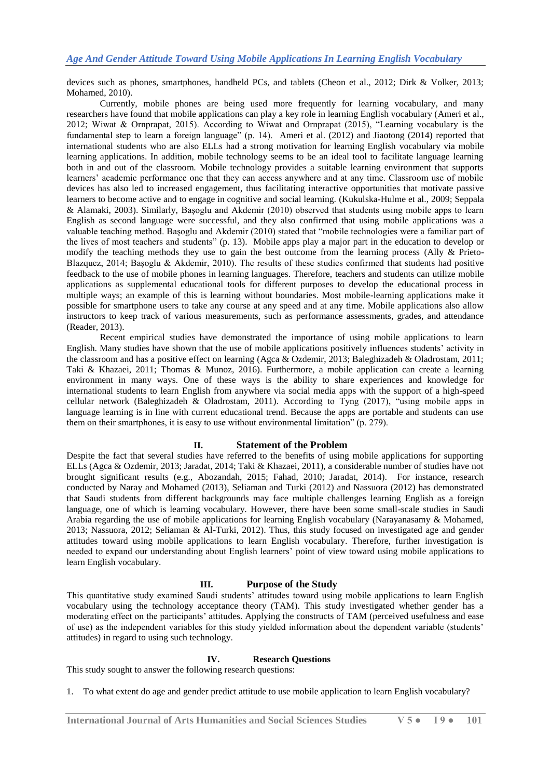devices such as phones, smartphones, handheld PCs, and tablets (Cheon et al., 2012; Dirk & Volker, 2013; Mohamed, 2010).

Currently, mobile phones are being used more frequently for learning vocabulary, and many researchers have found that mobile applications can play a key role in learning English vocabulary (Ameri et al., 2012; Wiwat & Ornprapat, 2015). According to Wiwat and Ornprapat (2015), "Learning vocabulary is the fundamental step to learn a foreign language" (p. 14). Ameri et al. (2012) and Jiaotong (2014) reported that international students who are also ELLs had a strong motivation for learning English vocabulary via mobile learning applications. In addition, mobile technology seems to be an ideal tool to facilitate language learning both in and out of the classroom. Mobile technology provides a suitable learning environment that supports learners' academic performance one that they can access anywhere and at any time. Classroom use of mobile devices has also led to increased engagement, thus facilitating interactive opportunities that motivate passive learners to become active and to engage in cognitive and social learning. (Kukulska-Hulme et al., 2009; Seppala & Alamaki, 2003). Similarly, Başoglu and Akdemir (2010) observed that students using mobile apps to learn English as second language were successful, and they also confirmed that using mobile applications was a valuable teaching method. Başoglu and Akdemir (2010) stated that "mobile technologies were a familiar part of the lives of most teachers and students" (p. 13). Mobile apps play a major part in the education to develop or modify the teaching methods they use to gain the best outcome from the learning process (Ally & Prieto-Blazquez, 2014; Başoglu & Akdemir, 2010). The results of these studies confirmed that students had positive feedback to the use of mobile phones in learning languages. Therefore, teachers and students can utilize mobile applications as supplemental educational tools for different purposes to develop the educational process in multiple ways; an example of this is learning without boundaries. Most mobile-learning applications make it possible for smartphone users to take any course at any speed and at any time. Mobile applications also allow instructors to keep track of various measurements, such as performance assessments, grades, and attendance (Reader, 2013).

Recent empirical studies have demonstrated the importance of using mobile applications to learn English. Many studies have shown that the use of mobile applications positively influences students' activity in the classroom and has a positive effect on learning (Agca & Ozdemir, 2013; Baleghizadeh & Oladrostam, 2011; Taki & Khazaei, 2011; Thomas & Munoz, 2016). Furthermore, a mobile application can create a learning environment in many ways. One of these ways is the ability to share experiences and knowledge for international students to learn English from anywhere via social media apps with the support of a high-speed cellular network (Baleghizadeh & Oladrostam, 2011). According to Tyng (2017), "using mobile apps in language learning is in line with current educational trend. Because the apps are portable and students can use them on their smartphones, it is easy to use without environmental limitation" (p. 279).

## **II. Statement of the Problem**

Despite the fact that several studies have referred to the benefits of using mobile applications for supporting ELLs (Agca & Ozdemir, 2013; Jaradat, 2014; Taki & Khazaei, 2011), a considerable number of studies have not brought significant results (e.g., Abozandah, 2015; Fahad, 2010; Jaradat, 2014). For instance, research conducted by Naray and Mohamed (2013), Seliaman and Turki (2012) and Nassuora (2012) has demonstrated that Saudi students from different backgrounds may face multiple challenges learning English as a foreign language, one of which is learning vocabulary. However, there have been some small-scale studies in Saudi Arabia regarding the use of mobile applications for learning English vocabulary (Narayanasamy & Mohamed, 2013; Nassuora, 2012; Seliaman & Al-Turki, 2012). Thus, this study focused on investigated age and gender attitudes toward using mobile applications to learn English vocabulary. Therefore, further investigation is needed to expand our understanding about English learners' point of view toward using mobile applications to learn English vocabulary.

#### **III. Purpose of the Study**

This quantitative study examined Saudi students' attitudes toward using mobile applications to learn English vocabulary using the technology acceptance theory (TAM). This study investigated whether gender has a moderating effect on the participants' attitudes. Applying the constructs of TAM (perceived usefulness and ease of use) as the independent variables for this study yielded information about the dependent variable (students' attitudes) in regard to using such technology.

#### **IV. Research Questions**

This study sought to answer the following research questions:

1. To what extent do age and gender predict attitude to use mobile application to learn English vocabulary?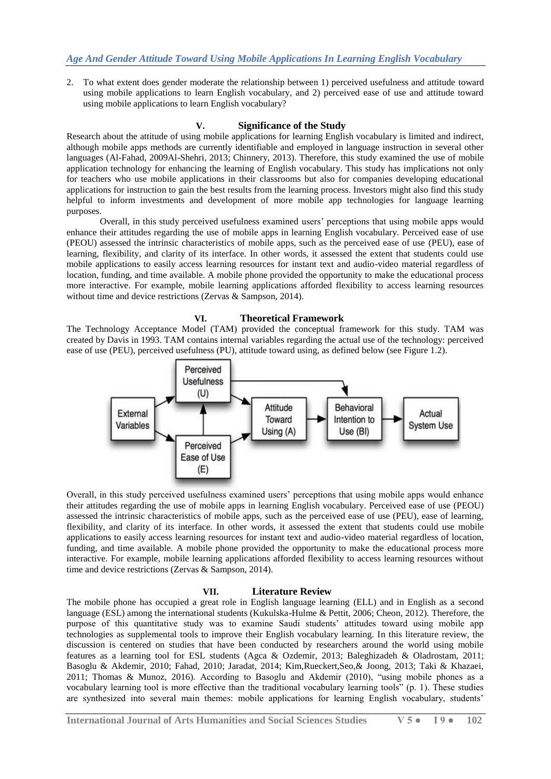2. To what extent does gender moderate the relationship between 1) perceived usefulness and attitude toward using mobile applications to learn English vocabulary, and 2) perceived ease of use and attitude toward using mobile applications to learn English vocabulary?

## **V. Significance of the Study**

Research about the attitude of using mobile applications for learning English vocabulary is limited and indirect, although mobile apps methods are currently identifiable and employed in language instruction in several other languages (Al-Fahad, 2009Al-Shehri, 2013; Chinnery, 2013). Therefore, this study examined the use of mobile application technology for enhancing the learning of English vocabulary. This study has implications not only for teachers who use mobile applications in their classrooms but also for companies developing educational applications for instruction to gain the best results from the learning process. Investors might also find this study helpful to inform investments and development of more mobile app technologies for language learning purposes.

Overall, in this study perceived usefulness examined users' perceptions that using mobile apps would enhance their attitudes regarding the use of mobile apps in learning English vocabulary. Perceived ease of use (PEOU) assessed the intrinsic characteristics of mobile apps, such as the perceived ease of use (PEU), ease of learning, flexibility, and clarity of its interface. In other words, it assessed the extent that students could use mobile applications to easily access learning resources for instant text and audio-video material regardless of location, funding, and time available. A mobile phone provided the opportunity to make the educational process more interactive. For example, mobile learning applications afforded flexibility to access learning resources without time and device restrictions (Zervas & Sampson, 2014).

## **VI. Theoretical Framework**

The Technology Acceptance Model (TAM) provided the conceptual framework for this study. TAM was created by Davis in 1993. TAM contains internal variables regarding the actual use of the technology: perceived ease of use (PEU), perceived usefulness (PU), attitude toward using, as defined below (see Figure 1.2).



Overall, in this study perceived usefulness examined users' perceptions that using mobile apps would enhance their attitudes regarding the use of mobile apps in learning English vocabulary. Perceived ease of use (PEOU) assessed the intrinsic characteristics of mobile apps, such as the perceived ease of use (PEU), ease of learning, flexibility, and clarity of its interface. In other words, it assessed the extent that students could use mobile applications to easily access learning resources for instant text and audio-video material regardless of location, funding, and time available. A mobile phone provided the opportunity to make the educational process more interactive. For example, mobile learning applications afforded flexibility to access learning resources without time and device restrictions (Zervas & Sampson, 2014).

## **VII. Literature Review**

The mobile phone has occupied a great role in English language learning (ELL) and in English as a second language (ESL) among the international students (Kukulska-Hulme & Pettit, 2006; Cheon, 2012). Therefore, the purpose of this quantitative study was to examine Saudi students' attitudes toward using mobile app technologies as supplemental tools to improve their English vocabulary learning. In this literature review, the discussion is centered on studies that have been conducted by researchers around the world using mobile features as a learning tool for ESL students (Agca & Ozdemir, 2013; Baleghizadeh & Oladrostam, 2011; Basoglu & Akdemir, 2010; Fahad, 2010; Jaradat, 2014; Kim,Rueckert,Seo,& Joong, 2013; Taki & Khazaei, 2011; Thomas & Munoz, 2016). According to Basoglu and Akdemir (2010), "using mobile phones as a vocabulary learning tool is more effective than the traditional vocabulary learning tools" (p. 1). These studies are synthesized into several main themes: mobile applications for learning English vocabulary, students'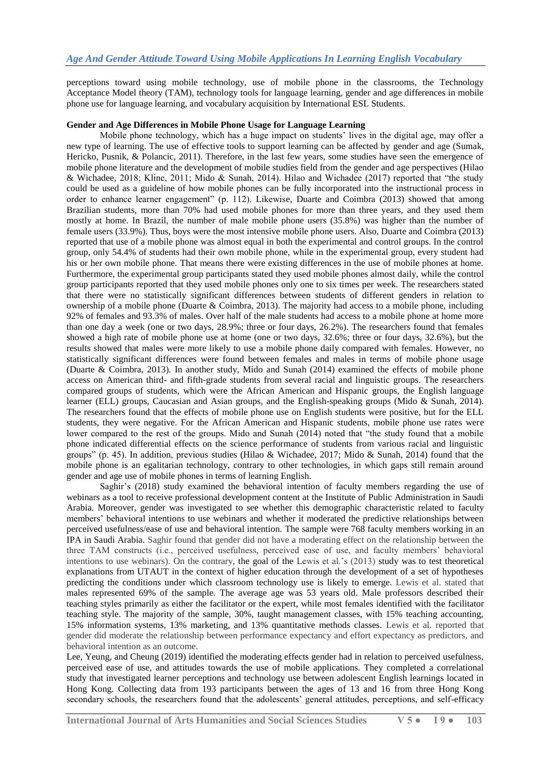perceptions toward using mobile technology, use of mobile phone in the classrooms, the Technology Acceptance Model theory (TAM), technology tools for language learning, gender and age differences in mobile phone use for language learning, and vocabulary acquisition by International ESL Students.

#### **Gender and Age Differences in Mobile Phone Usage for Language Learning**

Mobile phone technology, which has a huge impact on students' lives in the digital age, may offer a new type of learning. The use of effective tools to support learning can be affected by gender and age (Sumak, Hericko, Pusnik, & Polancic, 2011). Therefore, in the last few years, some studies have seen the emergence of mobile phone literature and the development of mobile studies field from the gender and age perspectives (Hilao & Wichadee, 2018; Kline, 2011; Mido & Sunah, 2014). Hilao and Wichadee (2017) reported that "the study could be used as a guideline of how mobile phones can be fully incorporated into the instructional process in order to enhance learner engagement" (p. 112). Likewise, Duarte and Coimbra (2013) showed that among Brazilian students, more than 70% had used mobile phones for more than three years, and they used them mostly at home. In Brazil, the number of male mobile phone users (35.8%) was higher than the number of female users (33.9%). Thus, boys were the most intensive mobile phone users. Also, Duarte and Coimbra (2013) reported that use of a mobile phone was almost equal in both the experimental and control groups. In the control group, only 54.4% of students had their own mobile phone, while in the experimental group, every student had his or her own mobile phone. That means there were existing differences in the use of mobile phones at home. Furthermore, the experimental group participants stated they used mobile phones almost daily, while the control group participants reported that they used mobile phones only one to six times per week. The researchers stated that there were no statistically significant differences between students of different genders in relation to ownership of a mobile phone (Duarte & Coimbra, 2013). The majority had access to a mobile phone, including 92% of females and 93.3% of males. Over half of the male students had access to a mobile phone at home more than one day a week (one or two days, 28.9%; three or four days, 26.2%). The researchers found that females showed a high rate of mobile phone use at home (one or two days, 32.6%; three or four days, 32.6%), but the results showed that males were more likely to use a mobile phone daily compared with females. However, no statistically significant differences were found between females and males in terms of mobile phone usage (Duarte & Coimbra, 2013). In another study, Mido and Sunah (2014) examined the effects of mobile phone access on American third- and fifth-grade students from several racial and linguistic groups. The researchers compared groups of students, which were the African American and Hispanic groups, the English language learner (ELL) groups, Caucasian and Asian groups, and the English-speaking groups (Mido & Sunah, 2014). The researchers found that the effects of mobile phone use on English students were positive, but for the ELL students, they were negative. For the African American and Hispanic students, mobile phone use rates were lower compared to the rest of the groups. Mido and Sunah (2014) noted that "the study found that a mobile phone indicated differential effects on the science performance of students from various racial and linguistic groups" (p. 45). In addition, previous studies (Hilao & Wichadee, 2017; Mido & Sunah, 2014) found that the mobile phone is an egalitarian technology, contrary to other technologies, in which gaps still remain around gender and age use of mobile phones in terms of learning English.

Saghir's (2018) study examined the behavioral intention of faculty members regarding the use of webinars as a tool to receive professional development content at the Institute of Public Administration in Saudi Arabia. Moreover, gender was investigated to see whether this demographic characteristic related to faculty members' behavioral intentions to use webinars and whether it moderated the predictive relationships between perceived usefulness/ease of use and behavioral intention. The sample were 768 faculty members working in an IPA in Saudi Arabia. Saghir found that gender did not have a moderating effect on the relationship between the three TAM constructs (i.e., perceived usefulness, perceived ease of use, and faculty members' behavioral intentions to use webinars). On the contrary, the goal of the Lewis et al.'s (2013) study was to test theoretical explanations from UTAUT in the context of higher education through the development of a set of hypotheses predicting the conditions under which classroom technology use is likely to emerge. Lewis et al. stated that males represented 69% of the sample. The average age was 53 years old. Male professors described their teaching styles primarily as either the facilitator or the expert, while most females identified with the facilitator teaching style. The majority of the sample, 30%, taught management classes, with 15% teaching accounting, 15% information systems, 13% marketing, and 13% quantitative methods classes. Lewis et al. reported that gender did moderate the relationship between performance expectancy and effort expectancy as predictors, and behavioral intention as an outcome.

Lee, Yeung, and Cheung (2019) identified the moderating effects gender had in relation to perceived usefulness, perceived ease of use, and attitudes towards the use of mobile applications. They completed a correlational study that investigated learner perceptions and technology use between adolescent English learnings located in Hong Kong. Collecting data from 193 participants between the ages of 13 and 16 from three Hong Kong secondary schools, the researchers found that the adolescents' general attitudes, perceptions, and self-efficacy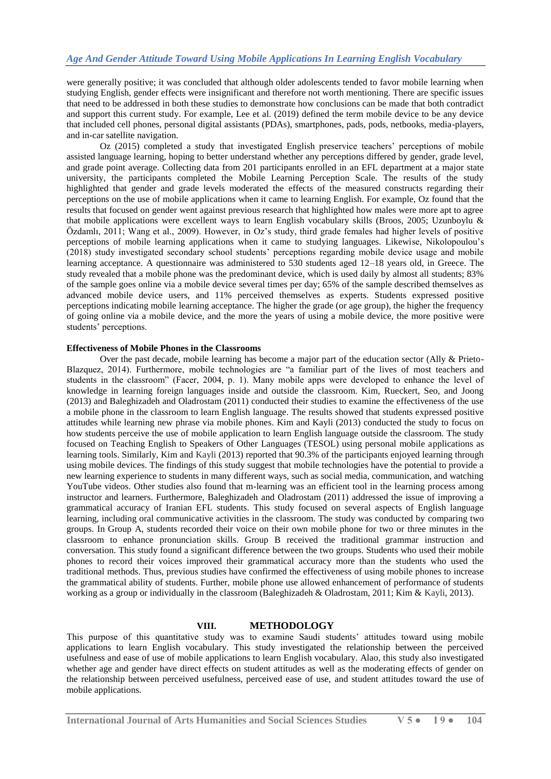were generally positive; it was concluded that although older adolescents tended to favor mobile learning when studying English, gender effects were insignificant and therefore not worth mentioning. There are specific issues that need to be addressed in both these studies to demonstrate how conclusions can be made that both contradict and support this current study. For example, Lee et al. (2019) defined the term mobile device to be any device that included cell phones, personal digital assistants (PDAs), smartphones, pads, pods, netbooks, media-players, and in-car satellite navigation.

Oz (2015) completed a study that investigated English preservice teachers' perceptions of mobile assisted language learning, hoping to better understand whether any perceptions differed by gender, grade level, and grade point average. Collecting data from 201 participants enrolled in an EFL department at a major state university, the participants completed the Mobile Learning Perception Scale. The results of the study highlighted that gender and grade levels moderated the effects of the measured constructs regarding their perceptions on the use of mobile applications when it came to learning English. For example, Oz found that the results that focused on gender went against previous research that highlighted how males were more apt to agree that mobile applications were excellent ways to learn English vocabulary skills (Broos, 2005; Uzunboylu & Özdamlı, 2011; Wang et al., 2009). However, in Oz's study, third grade females had higher levels of positive perceptions of mobile learning applications when it came to studying languages. Likewise, Nikolopoulou's (2018) study investigated secondary school students' perceptions regarding mobile device usage and mobile learning acceptance. A questionnaire was administered to 530 students aged 12–18 years old, in Greece. The study revealed that a mobile phone was the predominant device, which is used daily by almost all students; 83% of the sample goes online via a mobile device several times per day; 65% of the sample described themselves as advanced mobile device users, and 11% perceived themselves as experts. Students expressed positive perceptions indicating mobile learning acceptance. The higher the grade (or age group), the higher the frequency of going online via a mobile device, and the more the years of using a mobile device, the more positive were students' perceptions.

## **Effectiveness of Mobile Phones in the Classrooms**

Over the past decade, mobile learning has become a major part of the education sector (Ally & Prieto-Blazquez, 2014). Furthermore, mobile technologies are "a familiar part of the lives of most teachers and students in the classroom" (Facer, 2004, p. 1). Many mobile apps were developed to enhance the level of knowledge in learning foreign languages inside and outside the classroom. Kim, Rueckert, Seo, and Joong (2013) and Baleghizadeh and Oladrostam (2011) conducted their studies to examine the effectiveness of the use a mobile phone in the classroom to learn English language. The results showed that students expressed positive attitudes while learning new phrase via mobile phones. Kim and Kayli (2013) conducted the study to focus on how students perceive the use of mobile application to learn English language outside the classroom. The study focused on Teaching English to Speakers of Other Languages (TESOL) using personal mobile applications as learning tools. Similarly, Kim and Kayli (2013) reported that 90.3% of the participants enjoyed learning through using mobile devices. The findings of this study suggest that mobile technologies have the potential to provide a new learning experience to students in many different ways, such as social media, communication, and watching YouTube videos. Other studies also found that m-learning was an efficient tool in the learning process among instructor and learners. Furthermore, Baleghizadeh and Oladrostam (2011) addressed the issue of improving a grammatical accuracy of Iranian EFL students. This study focused on several aspects of English language learning, including oral communicative activities in the classroom. The study was conducted by comparing two groups. In Group A, students recorded their voice on their own mobile phone for two or three minutes in the classroom to enhance pronunciation skills. Group B received the traditional grammar instruction and conversation. This study found a significant difference between the two groups. Students who used their mobile phones to record their voices improved their grammatical accuracy more than the students who used the traditional methods. Thus, previous studies have confirmed the effectiveness of using mobile phones to increase the grammatical ability of students. Further, mobile phone use allowed enhancement of performance of students working as a group or individually in the classroom (Baleghizadeh & Oladrostam, 2011; Kim & Kayli, 2013).

#### **VIII. METHODOLOGY**

This purpose of this quantitative study was to examine Saudi students' attitudes toward using mobile applications to learn English vocabulary. This study investigated the relationship between the perceived usefulness and ease of use of mobile applications to learn English vocabulary. Alao, this study also investigated whether age and gender have direct effects on student attitudes as well as the moderating effects of gender on the relationship between perceived usefulness, perceived ease of use, and student attitudes toward the use of mobile applications.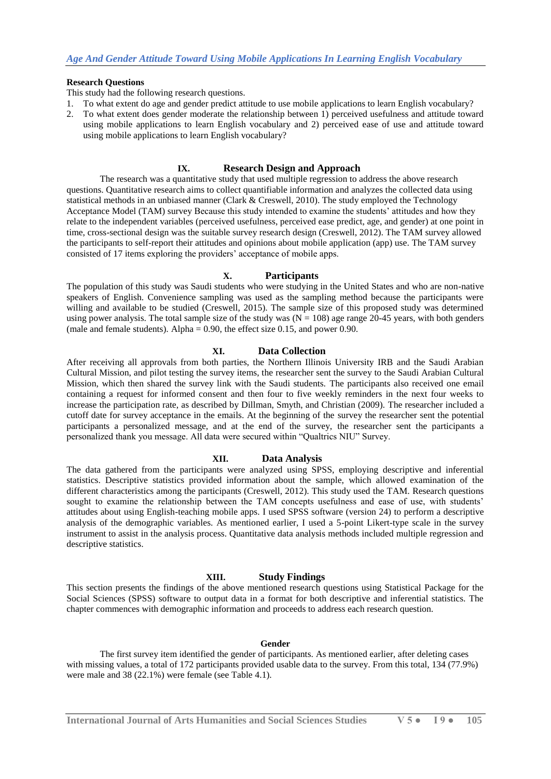#### **Research Questions**

This study had the following research questions.

- 1. To what extent do age and gender predict attitude to use mobile applications to learn English vocabulary?
- 2. To what extent does gender moderate the relationship between 1) perceived usefulness and attitude toward using mobile applications to learn English vocabulary and 2) perceived ease of use and attitude toward using mobile applications to learn English vocabulary?

## **IX. Research Design and Approach**

The research was a quantitative study that used multiple regression to address the above research questions. Quantitative research aims to collect quantifiable information and analyzes the collected data using statistical methods in an unbiased manner (Clark & Creswell, 2010). The study employed the Technology Acceptance Model (TAM) survey Because this study intended to examine the students' attitudes and how they relate to the independent variables (perceived usefulness, perceived ease predict, age, and gender) at one point in time, cross-sectional design was the suitable survey research design (Creswell, 2012). The TAM survey allowed the participants to self-report their attitudes and opinions about mobile application (app) use. The TAM survey consisted of 17 items exploring the providers' acceptance of mobile apps.

#### **X. Participants**

The population of this study was Saudi students who were studying in the United States and who are non-native speakers of English. Convenience sampling was used as the sampling method because the participants were willing and available to be studied (Creswell, 2015). The sample size of this proposed study was determined using power analysis. The total sample size of the study was  $(N = 108)$  age range 20-45 years, with both genders (male and female students). Alpha =  $0.90$ , the effect size  $0.15$ , and power 0.90.

#### **XI. Data Collection**

After receiving all approvals from both parties, the Northern Illinois University IRB and the Saudi Arabian Cultural Mission, and pilot testing the survey items, the researcher sent the survey to the Saudi Arabian Cultural Mission, which then shared the survey link with the Saudi students. The participants also received one email containing a request for informed consent and then four to five weekly reminders in the next four weeks to increase the participation rate, as described by Dillman, Smyth, and Christian (2009). The researcher included a cutoff date for survey acceptance in the emails. At the beginning of the survey the researcher sent the potential participants a personalized message, and at the end of the survey, the researcher sent the participants a personalized thank you message. All data were secured within "Qualtrics NIU" Survey.

#### **XII. Data Analysis**

The data gathered from the participants were analyzed using SPSS, employing descriptive and inferential statistics. Descriptive statistics provided information about the sample, which allowed examination of the different characteristics among the participants (Creswell, 2012). This study used the TAM. Research questions sought to examine the relationship between the TAM concepts usefulness and ease of use, with students' attitudes about using English-teaching mobile apps. I used SPSS software (version 24) to perform a descriptive analysis of the demographic variables. As mentioned earlier, I used a 5-point Likert-type scale in the survey instrument to assist in the analysis process. Quantitative data analysis methods included multiple regression and descriptive statistics.

## **XIII. Study Findings**

This section presents the findings of the above mentioned research questions using Statistical Package for the Social Sciences (SPSS) software to output data in a format for both descriptive and inferential statistics. The chapter commences with demographic information and proceeds to address each research question.

#### **Gender**

The first survey item identified the gender of participants. As mentioned earlier, after deleting cases with missing values, a total of 172 participants provided usable data to the survey. From this total, 134 (77.9%) were male and 38 (22.1%) were female (see Table 4.1).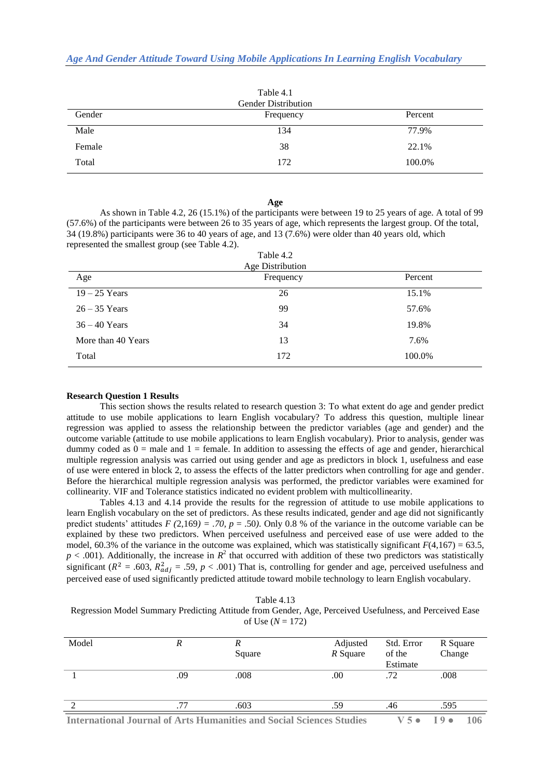| Table 4.1<br><b>Gender Distribution</b> |           |         |  |  |  |
|-----------------------------------------|-----------|---------|--|--|--|
| Gender                                  | Frequency | Percent |  |  |  |
| Male                                    | 134       | 77.9%   |  |  |  |
| Female                                  | 38        | 22.1%   |  |  |  |
| Total                                   | 172       | 100.0%  |  |  |  |

#### **Age**

As shown in Table 4.2, 26 (15.1%) of the participants were between 19 to 25 years of age. A total of 99 (57.6%) of the participants were between 26 to 35 years of age, which represents the largest group. Of the total, 34 (19.8%) participants were 36 to 40 years of age, and 13 (7.6%) were older than 40 years old, which represented the smallest group (see Table 4.2).

| Age Distribution<br>Age<br>Frequency<br>Percent |     |        |  |  |  |  |  |
|-------------------------------------------------|-----|--------|--|--|--|--|--|
|                                                 |     |        |  |  |  |  |  |
| $19 - 25$ Years                                 | 26  | 15.1%  |  |  |  |  |  |
| $26 - 35$ Years                                 | 99  | 57.6%  |  |  |  |  |  |
| $36 - 40$ Years                                 | 34  | 19.8%  |  |  |  |  |  |
| More than 40 Years                              | 13  | 7.6%   |  |  |  |  |  |
| Total                                           | 172 | 100.0% |  |  |  |  |  |

#### **Research Question 1 Results**

This section shows the results related to research question 3: To what extent do age and gender predict attitude to use mobile applications to learn English vocabulary? To address this question, multiple linear regression was applied to assess the relationship between the predictor variables (age and gender) and the outcome variable (attitude to use mobile applications to learn English vocabulary). Prior to analysis, gender was dummy coded as  $0 =$  male and  $1 =$  female. In addition to assessing the effects of age and gender, hierarchical multiple regression analysis was carried out using gender and age as predictors in block 1, usefulness and ease of use were entered in block 2, to assess the effects of the latter predictors when controlling for age and gender. Before the hierarchical multiple regression analysis was performed, the predictor variables were examined for collinearity. VIF and Tolerance statistics indicated no evident problem with multicollinearity.

Tables 4.13 and 4.14 provide the results for the regression of attitude to use mobile applications to learn English vocabulary on the set of predictors. As these results indicated, gender and age did not significantly predict students' attitudes  $F(2,169) = .70$ ,  $p = .50$ ). Only 0.8 % of the variance in the outcome variable can be explained by these two predictors. When perceived usefulness and perceived ease of use were added to the model, 60.3% of the variance in the outcome was explained, which was statistically significant  $F(4,167) = 63.5$ ,  $p < .001$ ). Additionally, the increase in  $R^2$  that occurred with addition of these two predictors was statistically significant ( $R^2$  = .603,  $R_{adi}^2$  = .59,  $p < .001$ ) That is, controlling for gender and age, perceived usefulness and perceived ease of used significantly predicted attitude toward mobile technology to learn English vocabulary.

| Table 4.13 |  |
|------------|--|
|------------|--|

Regression Model Summary Predicting Attitude from Gender, Age, Perceived Usefulness, and Perceived Ease of Use  $(N = 172)$ 

| Model | R   | Square                                                               | Adjusted<br>R Square | Std. Error<br>of the | R Square<br>Change    |
|-------|-----|----------------------------------------------------------------------|----------------------|----------------------|-----------------------|
|       |     |                                                                      |                      | Estimate             |                       |
|       | .09 | .008                                                                 | .00                  | .72                  | .008                  |
|       | .77 | .603                                                                 | .59                  | .46                  | .595                  |
|       |     | International Journal of Arts Humanities and Secial Sciences Studies |                      |                      | 1ሰሩ<br>$\blacksquare$ |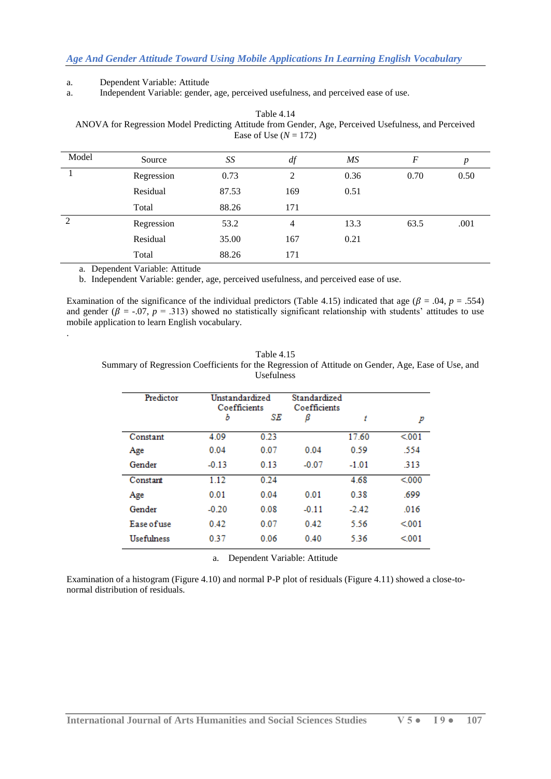#### a. Dependent Variable: Attitude

a. Independent Variable: gender, age, perceived usefulness, and perceived ease of use.

Table 4.14 ANOVA for Regression Model Predicting Attitude from Gender, Age, Perceived Usefulness, and Perceived Ease of Use  $(N = 172)$ 

| Model          | Source     | SS    | df  | MS   | F    | $\boldsymbol{p}$ |
|----------------|------------|-------|-----|------|------|------------------|
|                | Regression | 0.73  | 2   | 0.36 | 0.70 | 0.50             |
|                | Residual   | 87.53 | 169 | 0.51 |      |                  |
|                | Total      | 88.26 | 171 |      |      |                  |
| $\overline{2}$ | Regression | 53.2  | 4   | 13.3 | 63.5 | .001             |
|                | Residual   | 35.00 | 167 | 0.21 |      |                  |
|                | Total      | 88.26 | 171 |      |      |                  |

a. Dependent Variable: Attitude

b. Independent Variable: gender, age, perceived usefulness, and perceived ease of use.

Examination of the significance of the individual predictors (Table 4.15) indicated that age ( $\beta$  = .04, *p* = .554) and gender ( $\beta$  = -.07,  $p$  = .313) showed no statistically significant relationship with students' attitudes to use mobile application to learn English vocabulary.

| Table 4.15                                                                                         |
|----------------------------------------------------------------------------------------------------|
| Summary of Regression Coefficients for the Regression of Attitude on Gender, Age, Ease of Use, and |
| <b>Usefulness</b>                                                                                  |

| Predictor         | Unstandardized<br>Coefficients |      | Standardized<br>Coefficients |         |       |
|-------------------|--------------------------------|------|------------------------------|---------|-------|
|                   | Ъ                              | SE   | β                            | t       | p     |
| Constant          | 4.09                           | 0.23 |                              | 17.60   | < 001 |
| Age               | 0.04                           | 0.07 | 0.04                         | 0.59    | .554  |
| Gender            | $-0.13$                        | 0.13 | $-0.07$                      | $-1.01$ | 313   |
| Constant          | 1.12                           | 0.24 |                              | 4.68    | < 000 |
| Age               | 0.01                           | 0.04 | 0.01                         | 0.38    | .699  |
| Gender            | $-0.20$                        | 0.08 | $-0.11$                      | $-2.42$ | 016   |
| Ease of use       | 0.42                           | 0.07 | 0.42                         | 5.56    | < 001 |
| <b>Usefulness</b> | 0.37                           | 0.06 | 0.40                         | 5.36    | < 001 |

a. Dependent Variable: Attitude

Examination of a histogram (Figure 4.10) and normal P-P plot of residuals (Figure 4.11) showed a close-tonormal distribution of residuals.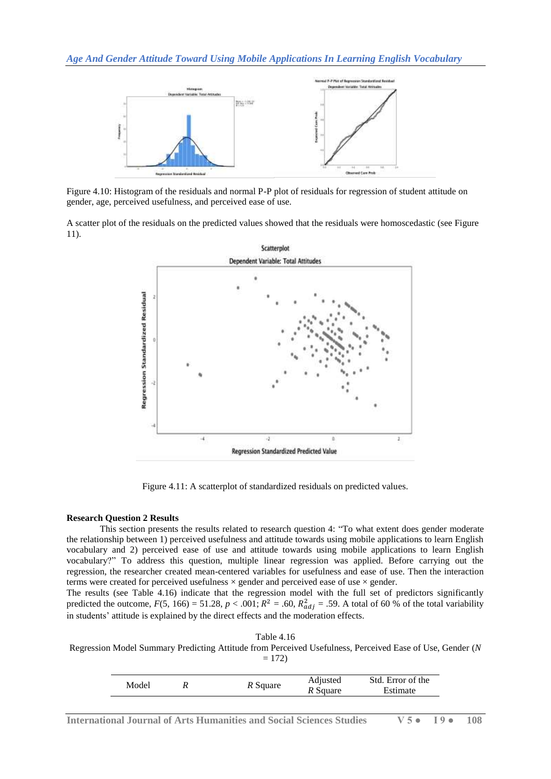*Age And Gender Attitude Toward Using Mobile Applications In Learning English Vocabulary*



Figure 4.10: Histogram of the residuals and normal P-P plot of residuals for regression of student attitude on gender, age, perceived usefulness, and perceived ease of use.

A scatter plot of the residuals on the predicted values showed that the residuals were homoscedastic (see Figure 11).



Figure 4.11: A scatterplot of standardized residuals on predicted values.

## **Research Question 2 Results**

This section presents the results related to research question 4: "To what extent does gender moderate the relationship between 1) perceived usefulness and attitude towards using mobile applications to learn English vocabulary and 2) perceived ease of use and attitude towards using mobile applications to learn English vocabulary?" To address this question, multiple linear regression was applied. Before carrying out the regression, the researcher created mean-centered variables for usefulness and ease of use. Then the interaction terms were created for perceived usefulness  $\times$  gender and perceived ease of use  $\times$  gender.

The results (see Table 4.16) indicate that the regression model with the full set of predictors significantly predicted the outcome,  $F(5, 166) = 51.28$ ,  $p < .001$ ;  $R^2 = .60$ ,  $R^2_{adi} = .59$ . A total of 60 % of the total variability in students' attitude is explained by the direct effects and the moderation effects.

| Table 4.16 |  |  |
|------------|--|--|
|            |  |  |

Regression Model Summary Predicting Attitude from Perceived Usefulness, Perceived Ease of Use, Gender (*N*  $= 172$ 

| Model |  | Adjusted | Std. Error of the |          |
|-------|--|----------|-------------------|----------|
|       |  | R Square | R Square          | Estimate |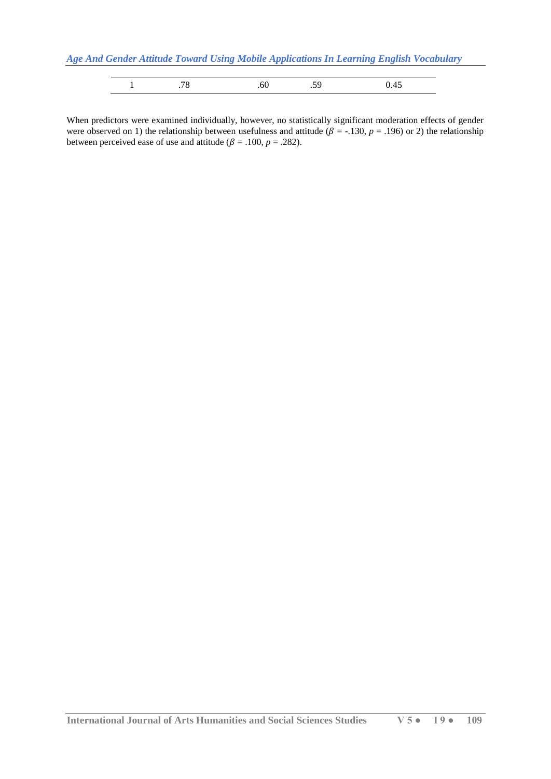*Age And Gender Attitude Toward Using Mobile Applications In Learning English Vocabulary*

When predictors were examined individually, however, no statistically significant moderation effects of gender were observed on 1) the relationship between usefulness and attitude ( $\beta$  = -.130,  $p$  = .196) or 2) the relationship between perceived ease of use and attitude ( $\beta = .100$ ,  $p = .282$ ).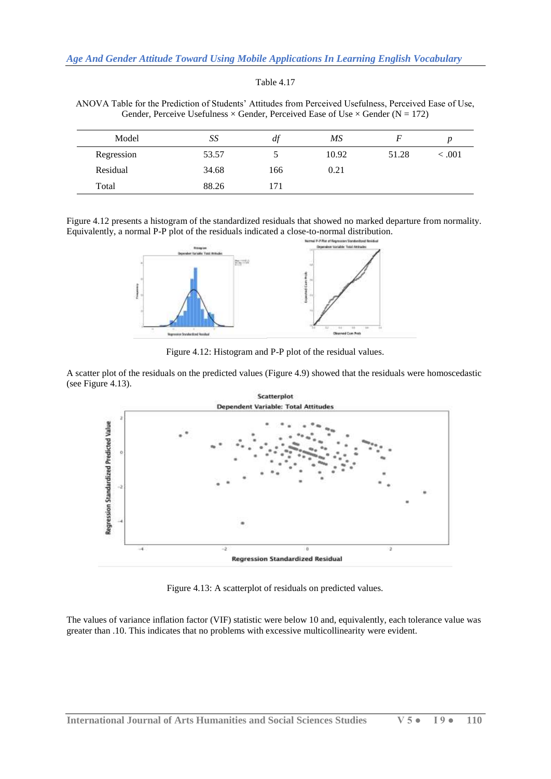ANOVA Table for the Prediction of Students' Attitudes from Perceived Usefulness, Perceived Ease of Use, Gender, Perceive Usefulness  $\times$  Gender, Perceived Ease of Use  $\times$  Gender (N = 172)

| Model      | SS    | <i>at</i> | MS    |       |         |
|------------|-------|-----------|-------|-------|---------|
| Regression | 53.57 |           | 10.92 | 51.28 | < 0.001 |
| Residual   | 34.68 | 166       | 0.21  |       |         |
| Total      | 88.26 | 171       |       |       |         |

Figure 4.12 presents a histogram of the standardized residuals that showed no marked departure from normality. Equivalently, a normal P-P plot of the residuals indicated a close-to-normal distribution.



Figure 4.12: Histogram and P-P plot of the residual values.

A scatter plot of the residuals on the predicted values (Figure 4.9) showed that the residuals were homoscedastic (see Figure 4.13).



Figure 4.13: A scatterplot of residuals on predicted values.

The values of variance inflation factor (VIF) statistic were below 10 and, equivalently, each tolerance value was greater than .10. This indicates that no problems with excessive multicollinearity were evident.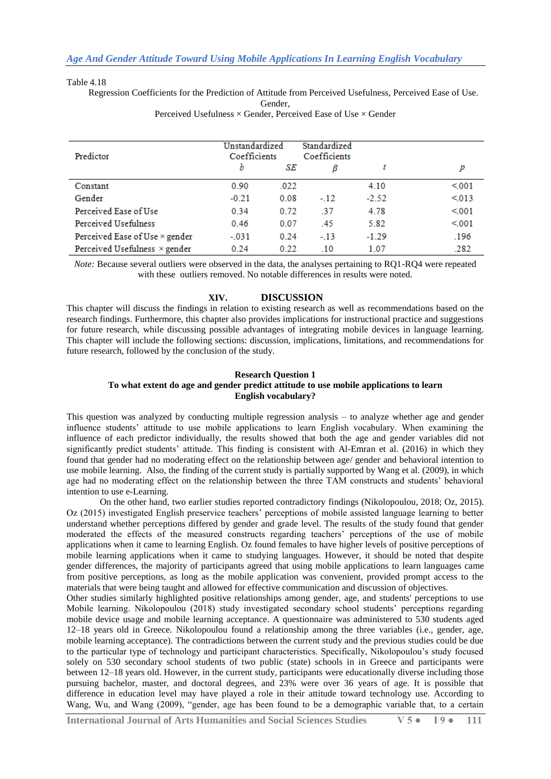#### Table 4.18

Regression Coefficients for the Prediction of Attitude from Perceived Usefulness, Perceived Ease of Use.

| Predictor                            | Unstandardized<br>Coefficients |      | Standardized<br>Coefficients |         |       |
|--------------------------------------|--------------------------------|------|------------------------------|---------|-------|
|                                      | b                              | SE   | ß                            |         | p     |
| Constant                             | 0.90                           | .022 |                              | 4.10    | < 001 |
| Gender                               | $-0.21$                        | 0.08 | $-12$                        | $-2.52$ | < 013 |
| Perceived Ease of Use                | 0.34                           | 0.72 | -37                          | 4.78    | < 001 |
| <b>Perceived Usefulness</b>          | 0.46                           | 0.07 | .45                          | 5.82    | < 001 |
| Perceived Ease of Use × gender       | $-031$                         | 0.24 | $-13$                        | $-1.29$ | .196  |
| Perceived Usefulness $\times$ gender | 0.24                           | 0.22 | $\overline{10}$              | 1.07    | .282  |

Gender, Perceived Usefulness  $\times$  Gender, Perceived Ease of Use  $\times$  Gender

*Note:* Because several outliers were observed in the data, the analyses pertaining to RQ1-RQ4 were repeated with these outliers removed. No notable differences in results were noted.

## **XIV. DISCUSSION**

This chapter will discuss the findings in relation to existing research as well as recommendations based on the research findings. Furthermore, this chapter also provides implications for instructional practice and suggestions for future research, while discussing possible advantages of integrating mobile devices in language learning. This chapter will include the following sections: discussion, implications, limitations, and recommendations for future research, followed by the conclusion of the study.

## **Research Question 1**

## **To what extent do age and gender predict attitude to use mobile applications to learn English vocabulary?**

This question was analyzed by conducting multiple regression analysis – to analyze whether age and gender influence students' attitude to use mobile applications to learn English vocabulary. When examining the influence of each predictor individually, the results showed that both the age and gender variables did not significantly predict students' attitude. This finding is consistent with Al-Emran et al. (2016) in which they found that gender had no moderating effect on the relationship between age/ gender and behavioral intention to use mobile learning. Also, the finding of the current study is partially supported by Wang et al. (2009), in which age had no moderating effect on the relationship between the three TAM constructs and students' behavioral intention to use e-Learning.

On the other hand, two earlier studies reported contradictory findings (Nikolopoulou, 2018; Oz, 2015). Oz (2015) investigated English preservice teachers' perceptions of mobile assisted language learning to better understand whether perceptions differed by gender and grade level. The results of the study found that gender moderated the effects of the measured constructs regarding teachers' perceptions of the use of mobile applications when it came to learning English. Oz found females to have higher levels of positive perceptions of mobile learning applications when it came to studying languages. However, it should be noted that despite gender differences, the majority of participants agreed that using mobile applications to learn languages came from positive perceptions, as long as the mobile application was convenient, provided prompt access to the materials that were being taught and allowed for effective communication and discussion of objectives.

Other studies similarly highlighted positive relationships among gender, age, and students' perceptions to use Mobile learning. Nikolopoulou (2018) study investigated secondary school students' perceptions regarding mobile device usage and mobile learning acceptance. A questionnaire was administered to 530 students aged 12–18 years old in Greece. Nikolopoulou found a relationship among the three variables (i.e., gender, age, mobile learning acceptance). The contradictions between the current study and the previous studies could be due to the particular type of technology and participant characteristics. Specifically, Nikolopoulou's study focused solely on 530 secondary school students of two public (state) schools in in Greece and participants were between 12–18 years old. However, in the current study, participants were educationally diverse including those pursuing bachelor, master, and doctoral degrees, and 23% were over 36 years of age. It is possible that difference in education level may have played a role in their attitude toward technology use. According to Wang, Wu, and Wang (2009), "gender, age has been found to be a demographic variable that, to a certain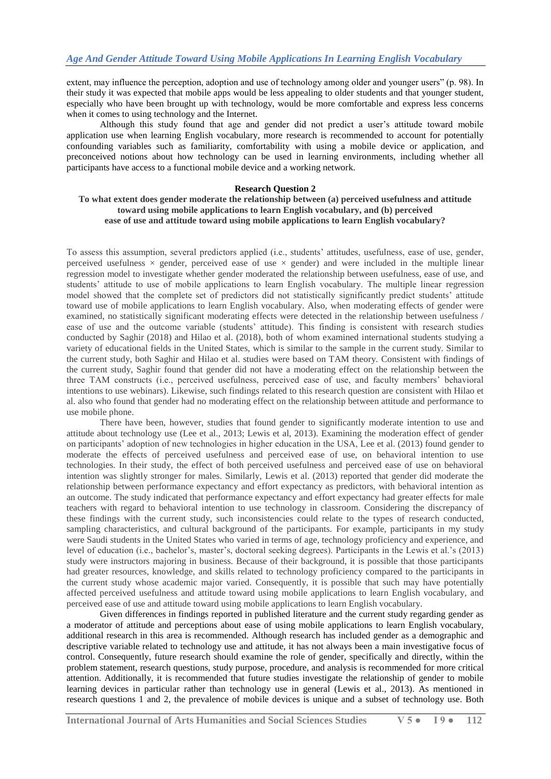extent, may influence the perception, adoption and use of technology among older and younger users" (p. 98). In their study it was expected that mobile apps would be less appealing to older students and that younger student, especially who have been brought up with technology, would be more comfortable and express less concerns when it comes to using technology and the Internet.

Although this study found that age and gender did not predict a user's attitude toward mobile application use when learning English vocabulary, more research is recommended to account for potentially confounding variables such as familiarity, comfortability with using a mobile device or application, and preconceived notions about how technology can be used in learning environments, including whether all participants have access to a functional mobile device and a working network.

#### **Research Question 2**

## **To what extent does gender moderate the relationship between (a) perceived usefulness and attitude toward using mobile applications to learn English vocabulary, and (b) perceived ease of use and attitude toward using mobile applications to learn English vocabulary?**

To assess this assumption, several predictors applied (i.e., students' attitudes, usefulness, ease of use, gender, perceived usefulness  $\times$  gender, perceived ease of use  $\times$  gender) and were included in the multiple linear regression model to investigate whether gender moderated the relationship between usefulness, ease of use, and students' attitude to use of mobile applications to learn English vocabulary. The multiple linear regression model showed that the complete set of predictors did not statistically significantly predict students' attitude toward use of mobile applications to learn English vocabulary. Also, when moderating effects of gender were examined, no statistically significant moderating effects were detected in the relationship between usefulness / ease of use and the outcome variable (students' attitude). This finding is consistent with research studies conducted by Saghir (2018) and Hilao et al. (2018), both of whom examined international students studying a variety of educational fields in the United States, which is similar to the sample in the current study. Similar to the current study, both Saghir and Hilao et al. studies were based on TAM theory. Consistent with findings of the current study, Saghir found that gender did not have a moderating effect on the relationship between the three TAM constructs (i.e., perceived usefulness, perceived ease of use, and faculty members' behavioral intentions to use webinars). Likewise, such findings related to this research question are consistent with Hilao et al. also who found that gender had no moderating effect on the relationship between attitude and performance to use mobile phone.

There have been, however, studies that found gender to significantly moderate intention to use and attitude about technology use (Lee et al., 2013; Lewis et al, 2013). Examining the moderation effect of gender on participants' adoption of new technologies in higher education in the USA, Lee et al. (2013) found gender to moderate the effects of perceived usefulness and perceived ease of use, on behavioral intention to use technologies. In their study, the effect of both perceived usefulness and perceived ease of use on behavioral intention was slightly stronger for males. Similarly, Lewis et al. (2013) reported that gender did moderate the relationship between performance expectancy and effort expectancy as predictors, with behavioral intention as an outcome. The study indicated that performance expectancy and effort expectancy had greater effects for male teachers with regard to behavioral intention to use technology in classroom. Considering the discrepancy of these findings with the current study, such inconsistencies could relate to the types of research conducted, sampling characteristics, and cultural background of the participants. For example, participants in my study were Saudi students in the United States who varied in terms of age, technology proficiency and experience, and level of education (i.e., bachelor's, master's, doctoral seeking degrees). Participants in the Lewis et al.'s (2013) study were instructors majoring in business. Because of their background, it is possible that those participants had greater resources, knowledge, and skills related to technology proficiency compared to the participants in the current study whose academic major varied. Consequently, it is possible that such may have potentially affected perceived usefulness and attitude toward using mobile applications to learn English vocabulary, and perceived ease of use and attitude toward using mobile applications to learn English vocabulary.

Given differences in findings reported in published literature and the current study regarding gender as a moderator of attitude and perceptions about ease of using mobile applications to learn English vocabulary, additional research in this area is recommended. Although research has included gender as a demographic and descriptive variable related to technology use and attitude, it has not always been a main investigative focus of control. Consequently, future research should examine the role of gender, specifically and directly, within the problem statement, research questions, study purpose, procedure, and analysis is recommended for more critical attention. Additionally, it is recommended that future studies investigate the relationship of gender to mobile learning devices in particular rather than technology use in general (Lewis et al., 2013). As mentioned in research questions 1 and 2, the prevalence of mobile devices is unique and a subset of technology use. Both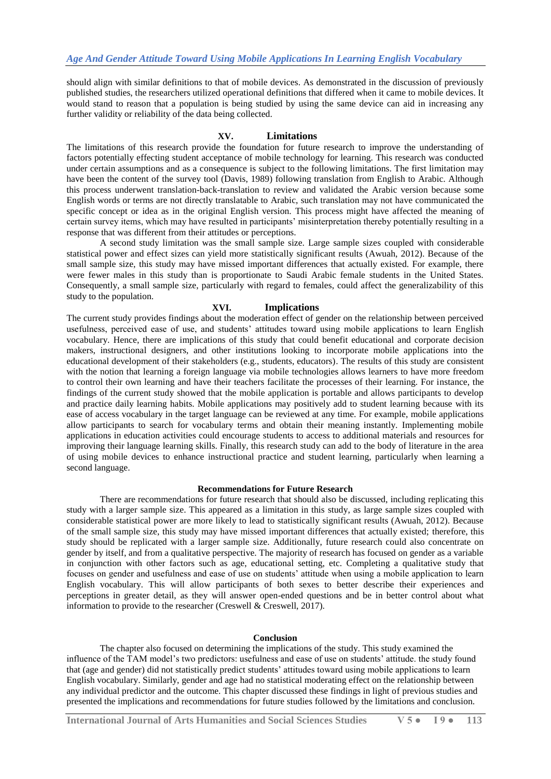should align with similar definitions to that of mobile devices. As demonstrated in the discussion of previously published studies, the researchers utilized operational definitions that differed when it came to mobile devices. It would stand to reason that a population is being studied by using the same device can aid in increasing any further validity or reliability of the data being collected.

#### **XV. Limitations**

The limitations of this research provide the foundation for future research to improve the understanding of factors potentially effecting student acceptance of mobile technology for learning. This research was conducted under certain assumptions and as a consequence is subject to the following limitations. The first limitation may have been the content of the survey tool (Davis, 1989) following translation from English to Arabic. Although this process underwent translation-back-translation to review and validated the Arabic version because some English words or terms are not directly translatable to Arabic, such translation may not have communicated the specific concept or idea as in the original English version. This process might have affected the meaning of certain survey items, which may have resulted in participants' misinterpretation thereby potentially resulting in a response that was different from their attitudes or perceptions.

A second study limitation was the small sample size. Large sample sizes coupled with considerable statistical power and effect sizes can yield more statistically significant results (Awuah, 2012). Because of the small sample size, this study may have missed important differences that actually existed. For example, there were fewer males in this study than is proportionate to Saudi Arabic female students in the United States. Consequently, a small sample size, particularly with regard to females, could affect the generalizability of this study to the population.

#### **XVI. Implications**

The current study provides findings about the moderation effect of gender on the relationship between perceived usefulness, perceived ease of use, and students' attitudes toward using mobile applications to learn English vocabulary. Hence, there are implications of this study that could benefit educational and corporate decision makers, instructional designers, and other institutions looking to incorporate mobile applications into the educational development of their stakeholders (e.g., students, educators). The results of this study are consistent with the notion that learning a foreign language via mobile technologies allows learners to have more freedom to control their own learning and have their teachers facilitate the processes of their learning. For instance, the findings of the current study showed that the mobile application is portable and allows participants to develop and practice daily learning habits. Mobile applications may positively add to student learning because with its ease of access vocabulary in the target language can be reviewed at any time. For example, mobile applications allow participants to search for vocabulary terms and obtain their meaning instantly. Implementing mobile applications in education activities could encourage students to access to additional materials and resources for improving their language learning skills. Finally, this research study can add to the body of literature in the area of using mobile devices to enhance instructional practice and student learning, particularly when learning a second language.

#### **Recommendations for Future Research**

There are recommendations for future research that should also be discussed, including replicating this study with a larger sample size. This appeared as a limitation in this study, as large sample sizes coupled with considerable statistical power are more likely to lead to statistically significant results (Awuah, 2012). Because of the small sample size, this study may have missed important differences that actually existed; therefore, this study should be replicated with a larger sample size. Additionally, future research could also concentrate on gender by itself, and from a qualitative perspective. The majority of research has focused on gender as a variable in conjunction with other factors such as age, educational setting, etc. Completing a qualitative study that focuses on gender and usefulness and ease of use on students' attitude when using a mobile application to learn English vocabulary. This will allow participants of both sexes to better describe their experiences and perceptions in greater detail, as they will answer open-ended questions and be in better control about what information to provide to the researcher (Creswell & Creswell, 2017).

#### **Conclusion**

The chapter also focused on determining the implications of the study. This study examined the influence of the TAM model's two predictors: usefulness and ease of use on students' attitude. the study found that (age and gender) did not statistically predict students' attitudes toward using mobile applications to learn English vocabulary. Similarly, gender and age had no statistical moderating effect on the relationship between any individual predictor and the outcome. This chapter discussed these findings in light of previous studies and presented the implications and recommendations for future studies followed by the limitations and conclusion.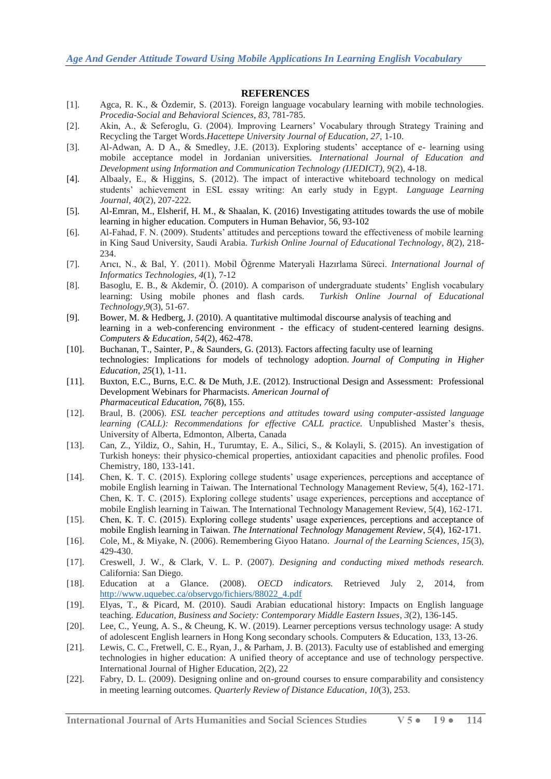## **REFERENCES**

- [1]. Agca, R. K., & Özdemir, S. (2013). Foreign language vocabulary learning with mobile technologies. *Procedia-Social and Behavioral Sciences*, *83*, 781-785.
- [2]. Akin, A., & Seferoglu, G. (2004). Improving Learners' Vocabulary through Strategy Training and Recycling the Target Words.*Hacettepe University Journal of Education*, *27*, 1-10.
- [3]. Al-Adwan, A. D A., & Smedley, J.E. (2013). Exploring students' acceptance of e- learning using mobile acceptance model in Jordanian universities. *International Journal of Education and Development using Information and Communication Technology (IJEDICT), 9*(2), 4-18.
- [4]. Albaaly, E., & Higgins, S. (2012). The impact of interactive whiteboard technology on medical students' achievement in ESL essay writing: An early study in Egypt. *Language Learning Journal*, *40*(2), 207-222.
- [5]. Al-Emran, M., Elsherif, H. M., & Shaalan, K. (2016) Investigating attitudes towards the use of mobile learning in higher education. Computers in Human Behavior, 56, 93-102
- [6]. Al-Fahad, F. N. (2009). Students' attitudes and perceptions toward the effectiveness of mobile learning in King Saud University, Saudi Arabia. *Turkish Online Journal of Educational Technology*, *8*(2), 218- 234.
- [7]. Arıcı, N., & Bal, Y. (2011). Mobil Öğrenme Materyali Hazırlama Süreci. *International Journal of Informatics Technologies*, *4*(1), 7-12
- [8]. Basoglu, E. B., & Akdemir, Ö. (2010). A comparison of undergraduate students' English vocabulary learning: Using mobile phones and flash cards. *Turkish Online Journal of Educational Technology*,*9*(3), 51-67.
- [9]. Bower, M. & Hedberg, J. (2010). A quantitative multimodal discourse analysis of teaching and learning in a web-conferencing environment - the efficacy of student-centered learning designs. *Computers & Education*, *54*(2), 462-478.
- [10]. Buchanan, T., Sainter, P., & Saunders, G. (2013). Factors affecting faculty use of learning technologies: Implications for models of technology adoption. *Journal of Computing in Higher Education*, *25*(1), 1-11.
- [11]. Buxton, E.C., Burns, E.C. & De Muth, J.E. (2012). Instructional Design and Assessment: Professional Development Webinars for Pharmacists. *American Journal of Pharmaceutical Education, 76*(8), 155.
- [12]. Braul, B. (2006). *ESL teacher perceptions and attitudes toward using computer-assisted language learning (CALL): Recommendations for effective CALL practice.* Unpublished Master's thesis, University of Alberta, Edmonton, Alberta, Canada
- [13]. Can, Z., Yildiz, O., Sahin, H., Turumtay, E. A., Silici, S., & Kolayli, S. (2015). An investigation of Turkish honeys: their physico-chemical properties, antioxidant capacities and phenolic profiles. Food Chemistry, 180, 133-141.
- [14]. Chen, K. T. C. (2015). Exploring college students' usage experiences, perceptions and acceptance of mobile English learning in Taiwan. The International Technology Management Review, 5(4), 162-171. Chen, K. T. C. (2015). Exploring college students' usage experiences, perceptions and acceptance of mobile English learning in Taiwan. The International Technology Management Review, 5(4), 162-171.
- [15]. Chen, K. T. C. (2015). Exploring college students' usage experiences, perceptions and acceptance of mobile English learning in Taiwan. *The International Technology Management Review*, *5*(4), 162-171.
- [16]. Cole, M., & Miyake, N. (2006). Remembering Giyoo Hatano. *Journal of the Learning Sciences*, *15*(3), 429-430.
- [17]. Creswell, J. W., & Clark, V. L. P. (2007). *Designing and conducting mixed methods research.*  California: San Diego.
- [18]. Education at a Glance. (2008). *OECD indicators.* Retrieved July 2, 2014, from [http://www.uquebec.ca/observgo/fichiers/88022\\_4.pdf](http://www.uquebec.ca/observgo/fichiers/88022_4.pdf)
- [19]. Elyas, T., & Picard, M. (2010). Saudi Arabian educational history: Impacts on English language teaching. *Education, Business and Society: Contemporary Middle Eastern Issues*, *3*(2), 136-145.
- [20]. Lee, C., Yeung, A. S., & Cheung, K. W. (2019). Learner perceptions versus technology usage: A study of adolescent English learners in Hong Kong secondary schools. Computers & Education, 133, 13-26.
- [21]. Lewis, C. C., Fretwell, C. E., Ryan, J., & Parham, J. B. (2013). Faculty use of established and emerging technologies in higher education: A unified theory of acceptance and use of technology perspective. International Journal of Higher Education, 2(2), 22
- [22]. Fabry, D. L. (2009). Designing online and on-ground courses to ensure comparability and consistency in meeting learning outcomes. *Quarterly Review of Distance Education*, *10*(3), 253.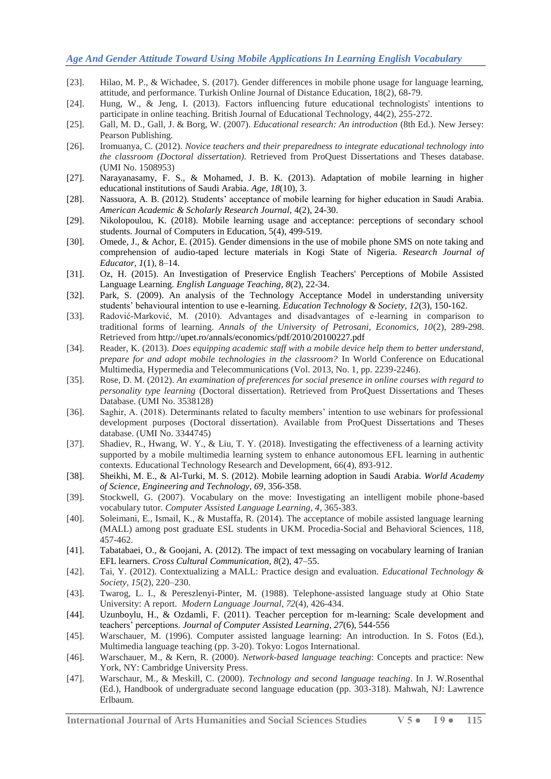## *Age And Gender Attitude Toward Using Mobile Applications In Learning English Vocabulary*

- [23]. Hilao, M. P., & Wichadee, S. (2017). Gender differences in mobile phone usage for language learning, attitude, and performance. Turkish Online Journal of Distance Education, 18(2), 68-79.
- [24]. Hung, W., & Jeng, I. (2013). Factors influencing future educational technologists' intentions to participate in online teaching. British Journal of Educational Technology, 44(2), 255-272.
- [25]. Gall, M. D., Gall, J. & Borg, W. (2007). *Educational research: An introduction* (8th Ed.). New Jersey: Pearson Publishing.
- [26]. Iromuanya, C. (2012). *Novice teachers and their preparedness to integrate educational technology into the classroom (Doctoral dissertation).* Retrieved from ProQuest Dissertations and Theses database. (UMI No. 1508953)
- [27]. Narayanasamy, F. S., & Mohamed, J. B. K. (2013). Adaptation of mobile learning in higher educational institutions of Saudi Arabia. *Age, 18*(10), 3.
- [28]. Nassuora, A. B. (2012). Students' acceptance of mobile learning for higher education in Saudi Arabia. *American Academic & Scholarly Research Journal,* 4(2), 24-30.
- [29]. Nikolopoulou, K. (2018). Mobile learning usage and acceptance: perceptions of secondary school students. Journal of Computers in Education, 5(4), 499-519.
- [30]. Omede, J., & Achor, E. (2015). Gender dimensions in the use of mobile phone SMS on note taking and comprehension of audio-taped lecture materials in Kogi State of Nigeria. *Research Journal of Educator, 1*(1), 8–14.
- [31]. Oz, H. (2015). An Investigation of Preservice English Teachers' Perceptions of Mobile Assisted Language Learning. *English Language Teaching*, *8*(2), 22-34.
- [32]. Park, S. (2009). An analysis of the Technology Acceptance Model in understanding university students' behavioural intention to use e-learning. *Education Technology & Society, 12*(3), 150-162.
- [33]. Radović-Marković, M. (2010). Advantages and disadvantages of e-learning in comparison to traditional forms of learning. *Annals of the University of Petrosani, Economics, 10*(2), 289-298. Retrieved from http://upet.ro/annals/economics/pdf/2010/20100227.pdf
- [34]. Reader, K. (2013). *Does equipping academic staff with a mobile device help them to better understand*, *prepare for and adopt mobile technologies in the classroom?* In World Conference on Educational Multimedia, Hypermedia and Telecommunications (Vol. 2013, No. 1, pp. 2239-2246).
- [35]. Rose, D. M. (2012). *An examination of preferences for social presence in online courses with regard to personality type learning* (Doctoral dissertation). Retrieved from ProQuest Dissertations and Theses Database. (UMI No. 3538128)
- [36]. Saghir, A. (2018). Determinants related to faculty members' intention to use webinars for professional development purposes (Doctoral dissertation). Available from ProQuest Dissertations and Theses database. (UMI No. 3344745)
- [37]. Shadiev, R., Hwang, W. Y., & Liu, T. Y. (2018). Investigating the effectiveness of a learning activity supported by a mobile multimedia learning system to enhance autonomous EFL learning in authentic contexts. Educational Technology Research and Development, 66(4), 893-912.
- [38]. Sheikhi, M. E., & Al-Turki, M. S. (2012). Mobile learning adoption in Saudi Arabia. *World Academy of Science, Engineering and Technology, 69*, 356-358.
- [39]. Stockwell, G. (2007). Vocabulary on the move: Investigating an intelligent mobile phone-based vocabulary tutor. *Computer Assisted Language Learning, 4*, 365-383.
- [40]. Soleimani, E., Ismail, K., & Mustaffa, R. (2014). The acceptance of mobile assisted language learning (MALL) among post graduate ESL students in UKM. Procedia-Social and Behavioral Sciences, 118, 457-462.
- [41]. Tabatabaei, O., & Goojani, A. (2012). The impact of text messaging on vocabulary learning of Iranian EFL learners. *Cross Cultural Communication, 8*(2), 47–55.
- [42]. Tai, Y. (2012). Contextualizing a MALL: Practice design and evaluation. *Educational Technology & Society, 15*(2), 220–230.
- [43]. Twarog, L. I., & Pereszlenyi-Pinter, M. (1988). Telephone‐assisted language study at Ohio State University: A report. *Modern Language Journal*, *72*(4), 426-434.
- [44]. Uzunboylu, H., & Ozdamli, F. (2011). Teacher perception for m-learning: Scale development and teachers' perceptions. *Journal of Computer Assisted Learning, 27*(6), 544-556
- [45]. Warschauer, M. (1996). Computer assisted language learning: An introduction. In S. Fotos (Ed.), Multimedia language teaching (pp. 3-20). Tokyo: Logos International.
- [46]. Warschauer, M., & Kern, R. (2000). *Network-based language teaching*: Concepts and practice: New York, NY: Cambridge University Press.
- [47]. Warschaur, M., & Meskill, C. (2000). *Technology and second language teaching*. In J. W.Rosenthal (Ed.), Handbook of undergraduate second language education (pp. 303-318). Mahwah, NJ: Lawrence Erlbaum.